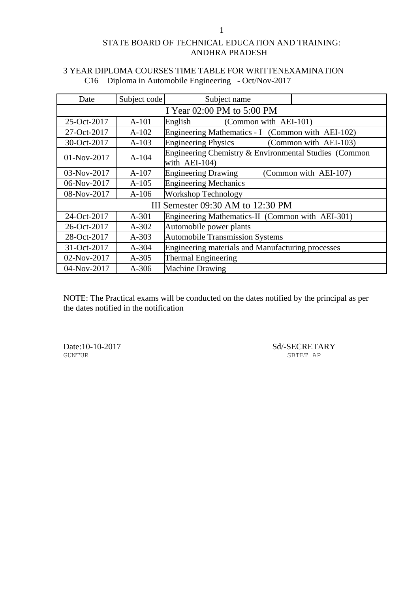| Date                              | Subject code | Subject name                                                           |                       |
|-----------------------------------|--------------|------------------------------------------------------------------------|-----------------------|
| I Year 02:00 PM to 5:00 PM        |              |                                                                        |                       |
| 25-Oct-2017                       | $A-101$      | (Common with AEI-101)<br>English                                       |                       |
| 27-Oct-2017                       | $A-102$      | Engineering Mathematics - I (Common with AEI-102)                      |                       |
| 30-Oct-2017                       | $A-103$      | <b>Engineering Physics</b>                                             | (Common with AEI-103) |
| $01-Nov-2017$                     | $A-104$      | Engineering Chemistry & Environmental Studies (Common<br>with AEI-104) |                       |
| 03-Nov-2017                       | $A-107$      | <b>Engineering Drawing</b>                                             | (Common with AEI-107) |
| 06-Nov-2017                       | $A-105$      | <b>Engineering Mechanics</b>                                           |                       |
| 08-Nov-2017                       | $A-106$      | <b>Workshop Technology</b>                                             |                       |
| III Semester 09:30 AM to 12:30 PM |              |                                                                        |                       |
| 24-Oct-2017                       | $A-301$      | Engineering Mathematics-II (Common with AEI-301)                       |                       |
| 26-Oct-2017                       | $A-302$      | Automobile power plants                                                |                       |
| 28-Oct-2017                       | $A-303$      | <b>Automobile Transmission Systems</b>                                 |                       |
| 31-Oct-2017                       | $A - 304$    | Engineering materials and Manufacturing processes                      |                       |
| 02-Nov-2017                       | $A-305$      | Thermal Engineering                                                    |                       |
| 04-Nov-2017                       | $A-306$      | <b>Machine Drawing</b>                                                 |                       |

## 3 YEAR DIPLOMA COURSES TIME TABLE FOR WRITTENEXAMINATION C16 Diploma in Automobile Engineering - Oct/Nov-2017

NOTE: The Practical exams will be conducted on the dates notified by the principal as per the dates notified in the notification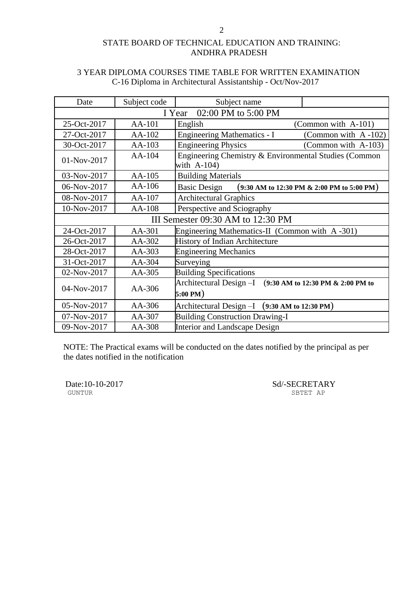| Date                              | Subject code | Subject name                                                                                           |  |
|-----------------------------------|--------------|--------------------------------------------------------------------------------------------------------|--|
| 02:00 PM to 5:00 PM<br>I Year     |              |                                                                                                        |  |
| 25-Oct-2017                       | AA-101       | English<br>(Common with A-101)                                                                         |  |
| 27-Oct-2017                       | AA-102       | <b>Engineering Mathematics - I</b><br>(Common with A-102)                                              |  |
| 30-Oct-2017                       | AA-103       | <b>Engineering Physics</b><br>(Common with A-103)                                                      |  |
| 01-Nov-2017                       | AA-104       | Engineering Chemistry & Environmental Studies (Common<br>with $A-104$ )                                |  |
| 03-Nov-2017                       | AA-105       | <b>Building Materials</b>                                                                              |  |
| 06-Nov-2017                       | AA-106       | <b>Basic Design</b><br>$(9:30 \text{ AM to } 12:30 \text{ PM} \& 2:00 \text{ PM to } 5:00 \text{ PM})$ |  |
| 08-Nov-2017                       | AA-107       | <b>Architectural Graphics</b>                                                                          |  |
| 10-Nov-2017                       | AA-108       | Perspective and Sciography                                                                             |  |
| III Semester 09:30 AM to 12:30 PM |              |                                                                                                        |  |
| 24-Oct-2017                       | AA-301       | Engineering Mathematics-II (Common with A-301)                                                         |  |
| 26-Oct-2017                       | AA-302       | <b>History of Indian Architecture</b>                                                                  |  |
| 28-Oct-2017                       | AA-303       | <b>Engineering Mechanics</b>                                                                           |  |
| 31-Oct-2017                       | AA-304       | Surveying                                                                                              |  |
| 02-Nov-2017                       | AA-305       | <b>Building Specifications</b>                                                                         |  |
| 04-Nov-2017                       | AA-306       | Architectural Design -I<br>(9:30 AM to 12:30 PM & 2:00 PM to<br>5:00 PM)                               |  |
| 05-Nov-2017                       | $AA-306$     | Architectural Design $-I$ (9:30 AM to 12:30 PM)                                                        |  |
| 07-Nov-2017                       | AA-307       | <b>Building Construction Drawing-I</b>                                                                 |  |
| 09-Nov-2017                       | AA-308       | Interior and Landscape Design                                                                          |  |

## 3 YEAR DIPLOMA COURSES TIME TABLE FOR WRITTEN EXAMINATION C-16 Diploma in Architectural Assistantship - Oct/Nov-2017

NOTE: The Practical exams will be conducted on the dates notified by the principal as per the dates notified in the notification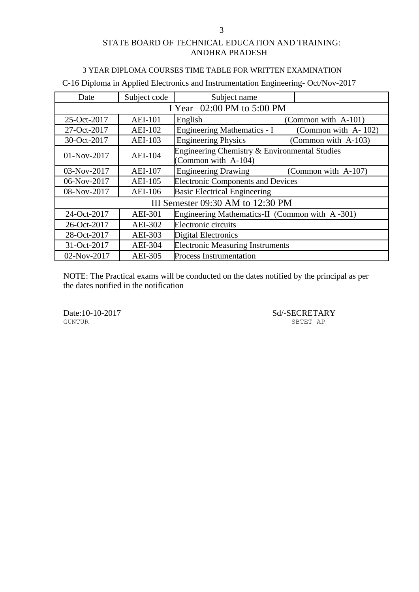#### 3 YEAR DIPLOMA COURSES TIME TABLE FOR WRITTEN EXAMINATION

C-16 Diploma in Applied Electronics and Instrumentation Engineering- Oct/Nov-2017

| Date                       | Subject code   | Subject name                                                         |                     |  |
|----------------------------|----------------|----------------------------------------------------------------------|---------------------|--|
| I Year 02:00 PM to 5:00 PM |                |                                                                      |                     |  |
| 25-Oct-2017                | <b>AEI-101</b> | English                                                              | (Common with A-101) |  |
| 27-Oct-2017                | <b>AEI-102</b> | <b>Engineering Mathematics - I</b>                                   | (Common with A-102) |  |
| 30-Oct-2017                | <b>AEI-103</b> | <b>Engineering Physics</b>                                           | (Common with A-103) |  |
| 01-Nov-2017                | <b>AEI-104</b> | Engineering Chemistry & Environmental Studies<br>(Common with A-104) |                     |  |
| 03-Nov-2017                | <b>AEI-107</b> | <b>Engineering Drawing</b>                                           | (Common with A-107) |  |
| 06-Nov-2017                | <b>AEI-105</b> | <b>Electronic Components and Devices</b>                             |                     |  |
| 08-Nov-2017                | <b>AEI-106</b> | <b>Basic Electrical Engineering</b>                                  |                     |  |
|                            |                | III Semester 09:30 AM to 12:30 PM                                    |                     |  |
| 24-Oct-2017                | <b>AEI-301</b> | Engineering Mathematics-II (Common with A-301)                       |                     |  |
| 26-Oct-2017                | AEI-302        | Electronic circuits                                                  |                     |  |
| 28-Oct-2017                | AEI-303        | <b>Digital Electronics</b>                                           |                     |  |
| 31-Oct-2017                | <b>AEI-304</b> | <b>Electronic Measuring Instruments</b>                              |                     |  |
| 02-Nov-2017                | <b>AEI-305</b> | <b>Process Instrumentation</b>                                       |                     |  |

NOTE: The Practical exams will be conducted on the dates notified by the principal as per the dates notified in the notification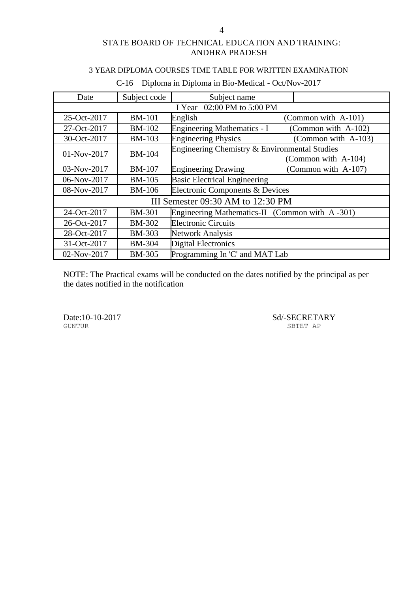## 3 YEAR DIPLOMA COURSES TIME TABLE FOR WRITTEN EXAMINATION

| Date        | Subject code                      | Subject name                                   |                     |  |  |
|-------------|-----------------------------------|------------------------------------------------|---------------------|--|--|
|             | I Year 02:00 PM to 5:00 PM        |                                                |                     |  |  |
| 25-Oct-2017 | <b>BM-101</b>                     | English                                        | (Common with A-101) |  |  |
| 27-Oct-2017 | <b>BM-102</b>                     | Engineering Mathematics - I                    | (Common with A-102) |  |  |
| 30-Oct-2017 | <b>BM-103</b>                     | <b>Engineering Physics</b>                     | (Common with A-103) |  |  |
| 01-Nov-2017 | <b>BM-104</b>                     | Engineering Chemistry & Environmental Studies  |                     |  |  |
|             |                                   |                                                | (Common with A-104) |  |  |
| 03-Nov-2017 | <b>BM-107</b>                     | <b>Engineering Drawing</b>                     | (Common with A-107) |  |  |
| 06-Nov-2017 | <b>BM-105</b>                     | <b>Basic Electrical Engineering</b>            |                     |  |  |
| 08-Nov-2017 | <b>BM-106</b>                     | Electronic Components & Devices                |                     |  |  |
|             | III Semester 09:30 AM to 12:30 PM |                                                |                     |  |  |
| 24-Oct-2017 | <b>BM-301</b>                     | Engineering Mathematics-II (Common with A-301) |                     |  |  |
| 26-Oct-2017 | <b>BM-302</b>                     | <b>Electronic Circuits</b>                     |                     |  |  |
| 28-Oct-2017 | <b>BM-303</b>                     | <b>Network Analysis</b>                        |                     |  |  |
| 31-Oct-2017 | <b>BM-304</b>                     | <b>Digital Electronics</b>                     |                     |  |  |
| 02-Nov-2017 | <b>BM-305</b>                     | Programming In 'C' and MAT Lab                 |                     |  |  |

## C-16 Diploma in Diploma in Bio-Medical - Oct/Nov-2017

NOTE: The Practical exams will be conducted on the dates notified by the principal as per the dates notified in the notification

GUNTUR SBTET AP

Date:10-10-2017 Sd/-SECRETARY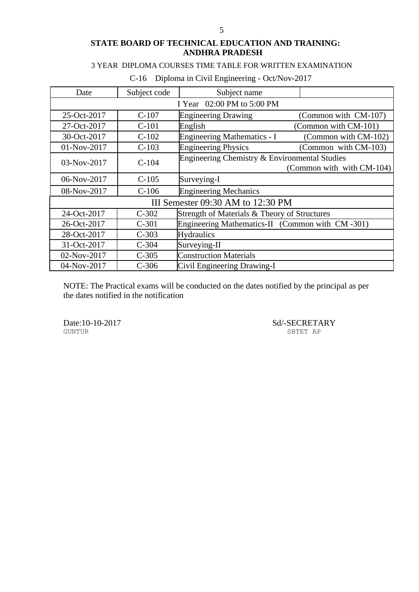## 3 YEAR DIPLOMA COURSES TIME TABLE FOR WRITTEN EXAMINATION

| Date                       | Subject code                      | Subject name                                    |                           |  |
|----------------------------|-----------------------------------|-------------------------------------------------|---------------------------|--|
| I Year 02:00 PM to 5:00 PM |                                   |                                                 |                           |  |
| 25-Oct-2017                | $C-107$                           | <b>Engineering Drawing</b>                      | (Common with CM-107)      |  |
| 27-Oct-2017                | $C-101$                           | English                                         | (Common with CM-101)      |  |
| 30-Oct-2017                | $C-102$                           | <b>Engineering Mathematics - I</b>              | (Common with CM-102)      |  |
| 01-Nov-2017                | $C-103$                           | <b>Engineering Physics</b>                      | (Common with CM-103)      |  |
| 03-Nov-2017                | $C-104$                           | Engineering Chemistry & Environmental Studies   | (Common with with CM-104) |  |
| 06-Nov-2017                | $C-105$                           | Surveying-I                                     |                           |  |
| 08-Nov-2017                | $C-106$                           | <b>Engineering Mechanics</b>                    |                           |  |
|                            | III Semester 09:30 AM to 12:30 PM |                                                 |                           |  |
| 24-Oct-2017                | $C-302$                           | Strength of Materials & Theory of Structures    |                           |  |
| 26-Oct-2017                | $C-301$                           | Engineering Mathematics-II (Common with CM-301) |                           |  |
| 28-Oct-2017                | $C-303$                           | <b>Hydraulics</b>                               |                           |  |
| 31-Oct-2017                | $C-304$                           | Surveying-II                                    |                           |  |
| 02-Nov-2017                | $C-305$                           | <b>Construction Materials</b>                   |                           |  |
| 04-Nov-2017                | $C-306$                           | Civil Engineering Drawing-I                     |                           |  |

## C-16 Diploma in Civil Engineering - Oct/Nov-2017

NOTE: The Practical exams will be conducted on the dates notified by the principal as per the dates notified in the notification

Date:10-10-2017 Sd/-SECRETARY SUNTUR SPTET AP

SBTET AP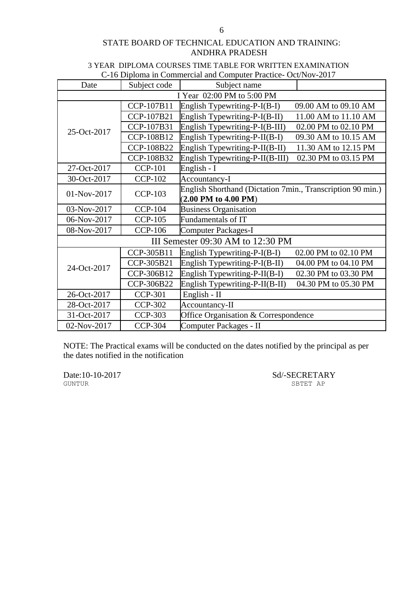#### 3 YEAR DIPLOMA COURSES TIME TABLE FOR WRITTEN EXAMINATION C-16 Diploma in Commercial and Computer Practice- Oct/Nov-2017

|             |                                   | C-TO Diploma in Commercial and Computer Fractice-Oct/Nov-2017 |  |  |
|-------------|-----------------------------------|---------------------------------------------------------------|--|--|
| Date        | Subject code                      | Subject name                                                  |  |  |
|             | I Year 02:00 PM to 5:00 PM        |                                                               |  |  |
|             | CCP-107B11                        | English Typewriting-P-I(B-I)<br>09.00 AM to 09.10 AM          |  |  |
|             | CCP-107B21                        | English Typewriting-P-I(B-II)<br>11.00 AM to 11.10 AM         |  |  |
| 25-Oct-2017 | CCP-107B31                        | English Typewriting-P-I(B-III)<br>02.00 PM to 02.10 PM        |  |  |
|             | CCP-108B12                        | English Typewriting-P-II(B-I)<br>09.30 AM to 10.15 AM         |  |  |
|             | CCP-108B22                        | English Typewriting-P-II(B-II)<br>11.30 AM to 12.15 PM        |  |  |
|             | CCP-108B32                        | English Typewriting-P-II(B-III)<br>02.30 PM to 03.15 PM       |  |  |
| 27-Oct-2017 | <b>CCP-101</b>                    | English - I                                                   |  |  |
| 30-Oct-2017 | <b>CCP-102</b>                    | Accountancy-I                                                 |  |  |
| 01-Nov-2017 | <b>CCP-103</b>                    | English Shorthand (Dictation 7min., Transcription 90 min.)    |  |  |
|             |                                   | $(2.00$ PM to $4.00$ PM)                                      |  |  |
| 03-Nov-2017 | <b>CCP-104</b>                    | <b>Business Organisation</b>                                  |  |  |
| 06-Nov-2017 | <b>CCP-105</b>                    | Fundamentals of IT                                            |  |  |
| 08-Nov-2017 | <b>CCP-106</b>                    | <b>Computer Packages-I</b>                                    |  |  |
|             | III Semester 09:30 AM to 12:30 PM |                                                               |  |  |
|             | CCP-305B11                        | English Typewriting-P-I(B-I)<br>02.00 PM to 02.10 PM          |  |  |
|             | CCP-305B21                        | English Typewriting-P-I(B-II)<br>04.00 PM to 04.10 PM         |  |  |
| 24-Oct-2017 | CCP-306B12                        | English Typewriting-P-II(B-I)<br>02.30 PM to 03.30 PM         |  |  |
|             | CCP-306B22                        | English Typewriting-P-II(B-II)<br>04.30 PM to 05.30 PM        |  |  |
| 26-Oct-2017 | <b>CCP-301</b>                    | English - II                                                  |  |  |
| 28-Oct-2017 | <b>CCP-302</b>                    | Accountancy-II                                                |  |  |
| 31-Oct-2017 | <b>CCP-303</b>                    | Office Organisation & Correspondence                          |  |  |
| 02-Nov-2017 | <b>CCP-304</b>                    | Computer Packages - II                                        |  |  |

NOTE: The Practical exams will be conducted on the dates notified by the principal as per the dates notified in the notification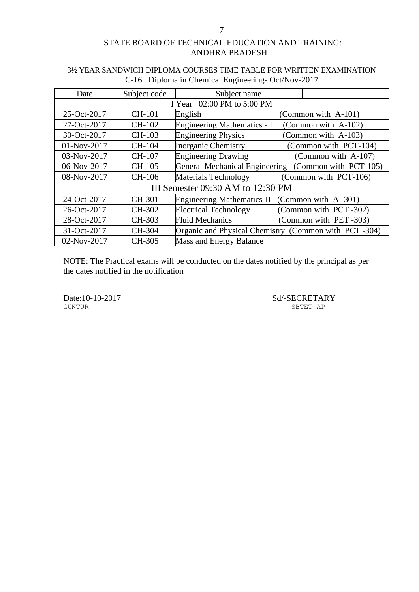# Date Subject code Subject name I Year 02:00 PM to 5:00 PM  $25-Oct-2017$  CH-101 English (Common with A-101) 27-Oct-2017 CH-102 Engineering Mathematics - I (Common with A-102) 30-Oct-2017 CH-103 Engineering Physics (Common with A-103) 01-Nov-2017 CH-104 Inorganic Chemistry (Common with PCT-104) 03-Nov-2017 CH-107 Engineering Drawing (Common with A-107) 06-Nov-2017 CH-105 General Mechanical Engineering (Common with PCT-105) 08-Nov-2017 CH-106 Materials Technology (Common with PCT-106) III Semester 09:30 AM to 12:30 PM 24-Oct-2017 CH-301 Engineering Mathematics-II (Common with A -301) 26-Oct-2017 CH-302 Electrical Technology (Common with PCT -302) 28-Oct-2017 CH-303 Fluid Mechanics (Common with PET -303) 31-Oct-2017 CH-304 Organic and Physical Chemistry (Common with PCT -304) 02-Nov-2017 CH-305 Mass and Energy Balance

## 3½ YEAR SANDWICH DIPLOMA COURSES TIME TABLE FOR WRITTEN EXAMINATION C-16 Diploma in Chemical Engineering- Oct/Nov-2017

NOTE: The Practical exams will be conducted on the dates notified by the principal as per the dates notified in the notification

GUNTUR SBTET AP

Date:10-10-2017 Sd/-SECRETARY SHEER AP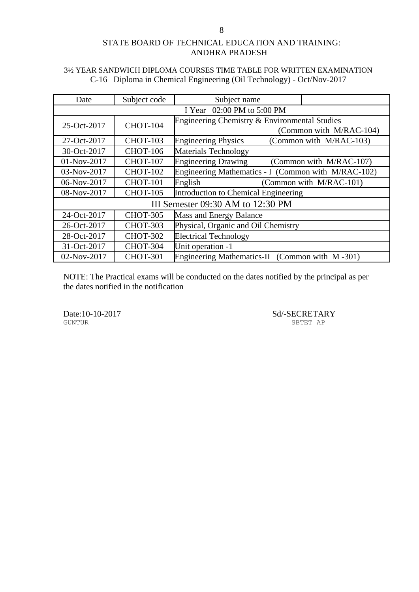## 3½ YEAR SANDWICH DIPLOMA COURSES TIME TABLE FOR WRITTEN EXAMINATION C-16 Diploma in Chemical Engineering (Oil Technology) - Oct/Nov-2017

| Date                              | Subject code    | Subject name                                          |  |
|-----------------------------------|-----------------|-------------------------------------------------------|--|
| I Year 02:00 PM to 5:00 PM        |                 |                                                       |  |
| 25-Oct-2017                       | <b>CHOT-104</b> | Engineering Chemistry & Environmental Studies         |  |
|                                   |                 | (Common with M/RAC-104)                               |  |
| 27-Oct-2017                       | <b>CHOT-103</b> | <b>Engineering Physics</b><br>(Common with M/RAC-103) |  |
| 30-Oct-2017                       | <b>CHOT-106</b> | <b>Materials Technology</b>                           |  |
| 01-Nov-2017                       | <b>CHOT-107</b> | <b>Engineering Drawing</b><br>(Common with M/RAC-107) |  |
| 03-Nov-2017                       | <b>CHOT-102</b> | Engineering Mathematics - I (Common with M/RAC-102)   |  |
| 06-Nov-2017                       | <b>CHOT-101</b> | English<br>(Common with M/RAC-101)                    |  |
| 08-Nov-2017                       | <b>CHOT-105</b> | Introduction to Chemical Engineering                  |  |
| III Semester 09:30 AM to 12:30 PM |                 |                                                       |  |
| 24-Oct-2017                       | <b>CHOT-305</b> | Mass and Energy Balance                               |  |
| 26-Oct-2017                       | <b>CHOT-303</b> | Physical, Organic and Oil Chemistry                   |  |
| 28-Oct-2017                       | <b>CHOT-302</b> | <b>Electrical Technology</b>                          |  |
| 31-Oct-2017                       | <b>CHOT-304</b> | Unit operation -1                                     |  |
| 02-Nov-2017                       | <b>CHOT-301</b> | Engineering Mathematics-II (Common with M-301)        |  |

NOTE: The Practical exams will be conducted on the dates notified by the principal as per the dates notified in the notification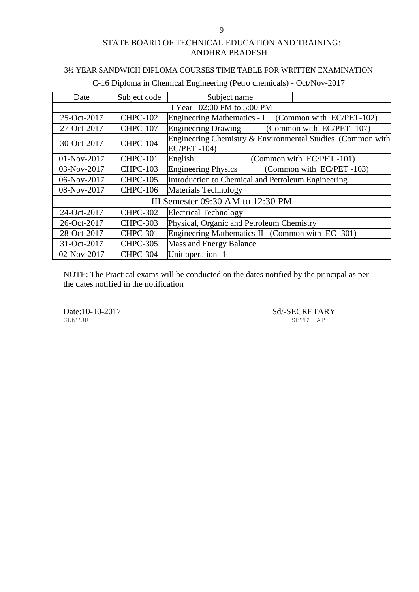#### 3½ YEAR SANDWICH DIPLOMA COURSES TIME TABLE FOR WRITTEN EXAMINATION

| Date        | Subject code    | Subject name                                                                     |                          |
|-------------|-----------------|----------------------------------------------------------------------------------|--------------------------|
|             |                 | I Year 02:00 PM to 5:00 PM                                                       |                          |
| 25-Oct-2017 | <b>CHPC-102</b> | Engineering Mathematics - I (Common with EC/PET-102)                             |                          |
| 27-Oct-2017 | <b>CHPC-107</b> | Engineering Drawing (Common with EC/PET -107)                                    |                          |
| 30-Oct-2017 | <b>CHPC-104</b> | Engineering Chemistry & Environmental Studies (Common with<br><b>EC/PET-104)</b> |                          |
| 01-Nov-2017 | <b>CHPC-101</b> | English                                                                          | (Common with EC/PET-101) |
| 03-Nov-2017 | <b>CHPC-103</b> | <b>Engineering Physics</b>                                                       | (Common with EC/PET-103) |
| 06-Nov-2017 | <b>CHPC-105</b> | Introduction to Chemical and Petroleum Engineering                               |                          |
| 08-Nov-2017 | <b>CHPC-106</b> | <b>Materials Technology</b>                                                      |                          |
|             |                 | III Semester 09:30 AM to 12:30 PM                                                |                          |
| 24-Oct-2017 | <b>CHPC-302</b> | <b>Electrical Technology</b>                                                     |                          |
| 26-Oct-2017 | <b>CHPC-303</b> | Physical, Organic and Petroleum Chemistry                                        |                          |
| 28-Oct-2017 | <b>CHPC-301</b> | Engineering Mathematics-II (Common with EC-301)                                  |                          |
| 31-Oct-2017 | <b>CHPC-305</b> | <b>Mass and Energy Balance</b>                                                   |                          |
| 02-Nov-2017 | <b>CHPC-304</b> | Unit operation -1                                                                |                          |

C-16 Diploma in Chemical Engineering (Petro chemicals) - Oct/Nov-2017

NOTE: The Practical exams will be conducted on the dates notified by the principal as per the dates notified in the notification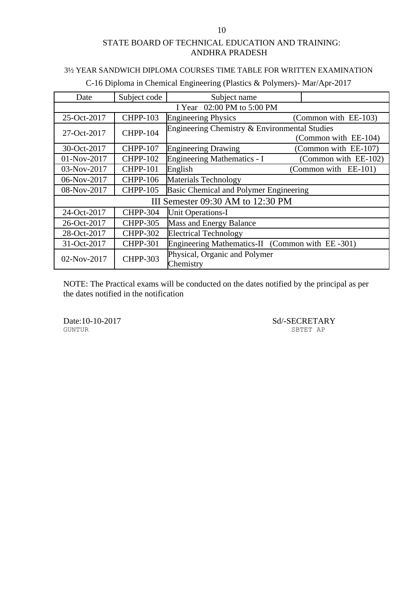## 3½ YEAR SANDWICH DIPLOMA COURSES TIME TABLE FOR WRITTEN EXAMINATION

| Date                              | Subject code               | Subject name                                    |  |                      |
|-----------------------------------|----------------------------|-------------------------------------------------|--|----------------------|
|                                   | I Year 02:00 PM to 5:00 PM |                                                 |  |                      |
| 25-Oct-2017                       | <b>CHPP-103</b>            | <b>Engineering Physics</b>                      |  | (Common with EE-103) |
| 27-Oct-2017                       | <b>CHPP-104</b>            | Engineering Chemistry & Environmental Studies   |  |                      |
|                                   |                            |                                                 |  | (Common with EE-104) |
| 30-Oct-2017                       | <b>CHPP-107</b>            | <b>Engineering Drawing</b>                      |  | (Common with EE-107) |
| 01-Nov-2017                       | <b>CHPP-102</b>            | Engineering Mathematics - I                     |  | (Common with EE-102) |
| 03-Nov-2017                       | <b>CHPP-101</b>            | English                                         |  | (Common with EE-101) |
| 06-Nov-2017                       | <b>CHPP-106</b>            | <b>Materials Technology</b>                     |  |                      |
| 08-Nov-2017                       | <b>CHPP-105</b>            | Basic Chemical and Polymer Engineering          |  |                      |
| III Semester 09:30 AM to 12:30 PM |                            |                                                 |  |                      |
| 24-Oct-2017                       | <b>CHPP-304</b>            | <b>Unit Operations-I</b>                        |  |                      |
| 26-Oct-2017                       | <b>CHPP-305</b>            | <b>Mass and Energy Balance</b>                  |  |                      |
| 28-Oct-2017                       | <b>CHPP-302</b>            | <b>Electrical Technology</b>                    |  |                      |
| 31-Oct-2017                       | <b>CHPP-301</b>            | Engineering Mathematics-II (Common with EE-301) |  |                      |
| 02-Nov-2017                       | <b>CHPP-303</b>            | Physical, Organic and Polymer<br>Chemistry      |  |                      |

C-16 Diploma in Chemical Engineering (Plastics & Polymers)- Mar/Apr-2017

NOTE: The Practical exams will be conducted on the dates notified by the principal as per the dates notified in the notification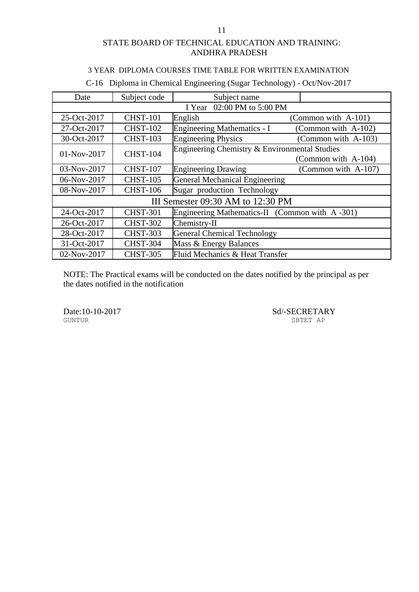## 3 YEAR DIPLOMA COURSES TIME TABLE FOR WRITTEN EXAMINATION

| Date        | Subject code                      | Subject name                                   |                     |
|-------------|-----------------------------------|------------------------------------------------|---------------------|
|             |                                   | I Year 02:00 PM to 5:00 PM                     |                     |
| 25-Oct-2017 | <b>CHST-101</b>                   | English                                        | (Common with A-101) |
| 27-Oct-2017 | <b>CHST-102</b>                   | Engineering Mathematics - I                    | (Common with A-102) |
| 30-Oct-2017 | <b>CHST-103</b>                   | <b>Engineering Physics</b>                     | (Common with A-103) |
| 01-Nov-2017 | <b>CHST-104</b>                   | Engineering Chemistry & Environmental Studies  |                     |
|             |                                   |                                                | (Common with A-104) |
| 03-Nov-2017 | <b>CHST-107</b>                   | <b>Engineering Drawing</b>                     | (Common with A-107) |
| 06-Nov-2017 | <b>CHST-105</b>                   | <b>General Mechanical Engineering</b>          |                     |
| 08-Nov-2017 | <b>CHST-106</b>                   | Sugar production Technology                    |                     |
|             | III Semester 09:30 AM to 12:30 PM |                                                |                     |
| 24-Oct-2017 | <b>CHST-301</b>                   | Engineering Mathematics-II (Common with A-301) |                     |
| 26-Oct-2017 | <b>CHST-302</b>                   | Chemistry-II                                   |                     |
| 28-Oct-2017 | <b>CHST-303</b>                   | <b>General Chemical Technology</b>             |                     |
| 31-Oct-2017 | <b>CHST-304</b>                   | Mass & Energy Balances                         |                     |
| 02-Nov-2017 | <b>CHST-305</b>                   | Fluid Mechanics & Heat Transfer                |                     |

C-16 Diploma in Chemical Engineering (Sugar Technology) - Oct/Nov-2017

NOTE: The Practical exams will be conducted on the dates notified by the principal as per the dates notified in the notification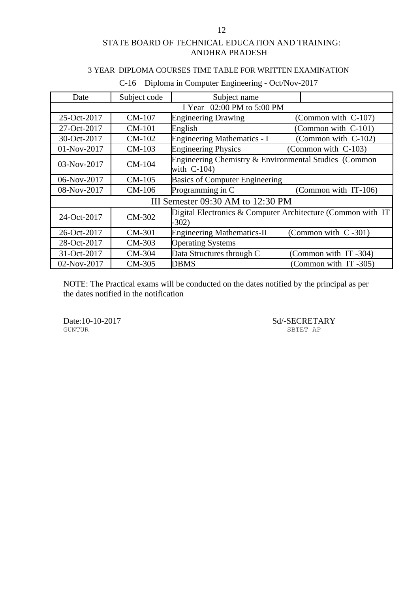## 3 YEAR DIPLOMA COURSES TIME TABLE FOR WRITTEN EXAMINATION

| Date                              | Subject code               | Subject name                                                            |                          |  |
|-----------------------------------|----------------------------|-------------------------------------------------------------------------|--------------------------|--|
|                                   | I Year 02:00 PM to 5:00 PM |                                                                         |                          |  |
| 25-Oct-2017                       | CM-107                     | <b>Engineering Drawing</b>                                              | (Common with C-107)      |  |
| 27-Oct-2017                       | <b>CM-101</b>              | English                                                                 | (Common with C-101)      |  |
| 30-Oct-2017                       | CM-102                     | <b>Engineering Mathematics - I</b>                                      | (Common with C-102)      |  |
| 01-Nov-2017                       | CM-103                     | <b>Engineering Physics</b>                                              | (Common with C-103)      |  |
| 03-Nov-2017                       | $CM-104$                   | Engineering Chemistry & Environmental Studies (Common<br>with $C-104$ ) |                          |  |
| 06-Nov-2017                       | CM-105                     | <b>Basics of Computer Engineering</b>                                   |                          |  |
| 08-Nov-2017                       | CM-106                     | Programming in C                                                        | (Common with IT-106)     |  |
| III Semester 09:30 AM to 12:30 PM |                            |                                                                         |                          |  |
| 24-Oct-2017                       | CM-302                     | Digital Electronics & Computer Architecture (Common with IT<br>$-302)$  |                          |  |
| 26-Oct-2017                       | CM-301                     | <b>Engineering Mathematics-II</b>                                       | (Common with $C - 301$ ) |  |
| 28-Oct-2017                       | CM-303                     | <b>Operating Systems</b>                                                |                          |  |
| 31-Oct-2017                       | CM-304                     | Data Structures through C                                               | (Common with IT-304)     |  |
| 02-Nov-2017                       | CM-305                     | <b>DBMS</b>                                                             | (Common with IT-305)     |  |

## C-16 Diploma in Computer Engineering - Oct/Nov-2017

NOTE: The Practical exams will be conducted on the dates notified by the principal as per the dates notified in the notification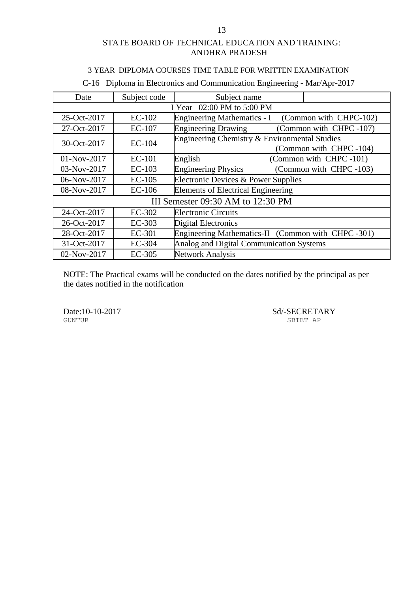#### 3 YEAR DIPLOMA COURSES TIME TABLE FOR WRITTEN EXAMINATION

| Date                              | Subject code  | Subject name                                                            |
|-----------------------------------|---------------|-------------------------------------------------------------------------|
| I Year 02:00 PM to 5:00 PM        |               |                                                                         |
| 25-Oct-2017                       | $EC-102$      | (Common with CHPC-102)<br><b>Engineering Mathematics - I</b>            |
| 27-Oct-2017                       | <b>EC-107</b> | <b>Engineering Drawing</b><br>(Common with CHPC-107)                    |
| 30-Oct-2017                       | <b>EC-104</b> | Engineering Chemistry & Environmental Studies<br>(Common with CHPC-104) |
| 01-Nov-2017                       | <b>EC-101</b> | (Common with CHPC-101)<br>English                                       |
| 03-Nov-2017                       | $EC-103$      | (Common with CHPC-103)<br><b>Engineering Physics</b>                    |
| 06-Nov-2017                       | $EC-105$      | Electronic Devices & Power Supplies                                     |
| 08-Nov-2017                       | $EC-106$      | <b>Elements of Electrical Engineering</b>                               |
| III Semester 09:30 AM to 12:30 PM |               |                                                                         |
| 24-Oct-2017                       | EC-302        | <b>Electronic Circuits</b>                                              |
| 26-Oct-2017                       | EC-303        | <b>Digital Electronics</b>                                              |
| 28-Oct-2017                       | EC-301        | Engineering Mathematics-II (Common with CHPC -301)                      |
| 31-Oct-2017                       | <b>EC-304</b> | Analog and Digital Communication Systems                                |
| 02-Nov-2017                       | EC-305        | <b>Network Analysis</b>                                                 |

## C-16 Diploma in Electronics and Communication Engineering - Mar/Apr-2017

NOTE: The Practical exams will be conducted on the dates notified by the principal as per the dates notified in the notification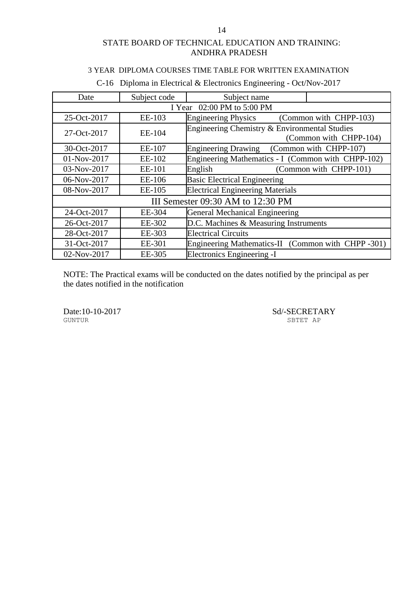## 3 YEAR DIPLOMA COURSES TIME TABLE FOR WRITTEN EXAMINATION

| Date        | Subject code               | Subject name                                                            |  |  |  |
|-------------|----------------------------|-------------------------------------------------------------------------|--|--|--|
|             | I Year 02:00 PM to 5:00 PM |                                                                         |  |  |  |
| 25-Oct-2017 | EE-103                     | <b>Engineering Physics</b><br>(Common with CHPP-103)                    |  |  |  |
| 27-Oct-2017 | EE-104                     | Engineering Chemistry & Environmental Studies<br>(Common with CHPP-104) |  |  |  |
| 30-Oct-2017 | EE-107                     | (Common with CHPP-107)<br><b>Engineering Drawing</b>                    |  |  |  |
| 01-Nov-2017 | EE-102                     | Engineering Mathematics - I (Common with CHPP-102)                      |  |  |  |
| 03-Nov-2017 | EE-101                     | (Common with CHPP-101)<br>English                                       |  |  |  |
| 06-Nov-2017 | EE-106                     | <b>Basic Electrical Engineering</b>                                     |  |  |  |
| 08-Nov-2017 | EE-105                     | <b>Electrical Engineering Materials</b>                                 |  |  |  |
|             |                            | III Semester 09:30 AM to 12:30 PM                                       |  |  |  |
| 24-Oct-2017 | EE-304                     | <b>General Mechanical Engineering</b>                                   |  |  |  |
| 26-Oct-2017 | EE-302                     | D.C. Machines & Measuring Instruments                                   |  |  |  |
| 28-Oct-2017 | EE-303                     | <b>Electrical Circuits</b>                                              |  |  |  |
| 31-Oct-2017 | EE-301                     | Engineering Mathematics-II (Common with CHPP -301)                      |  |  |  |
| 02-Nov-2017 | EE-305                     | Electronics Engineering -I                                              |  |  |  |

## C-16 Diploma in Electrical & Electronics Engineering - Oct/Nov-2017

NOTE: The Practical exams will be conducted on the dates notified by the principal as per the dates notified in the notification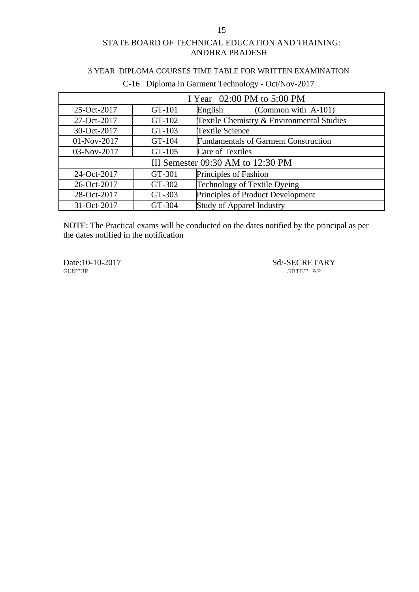#### 3 YEAR DIPLOMA COURSES TIME TABLE FOR WRITTEN EXAMINATION

| I Year 02:00 PM to 5:00 PM        |        |                                             |  |
|-----------------------------------|--------|---------------------------------------------|--|
| 25-Oct-2017                       | GT-101 | (Common with A-101)<br>English              |  |
| 27-Oct-2017                       | GT-102 | Textile Chemistry & Environmental Studies   |  |
| 30-Oct-2017                       | GT-103 | <b>Textile Science</b>                      |  |
| 01-Nov-2017                       | GT-104 | <b>Fundamentals of Garment Construction</b> |  |
| 03-Nov-2017                       | GT-105 | <b>Care of Textiles</b>                     |  |
| III Semester 09:30 AM to 12:30 PM |        |                                             |  |
| 24-Oct-2017                       | GT-301 | Principles of Fashion                       |  |
| 26-Oct-2017                       | GT-302 | Technology of Textile Dyeing                |  |
| 28-Oct-2017                       | GT-303 | Principles of Product Development           |  |
| 31-Oct-2017                       | GT-304 | <b>Study of Apparel Industry</b>            |  |

## C-16 Diploma in Garment Technology - Oct/Nov-2017

NOTE: The Practical exams will be conducted on the dates notified by the principal as per the dates notified in the notification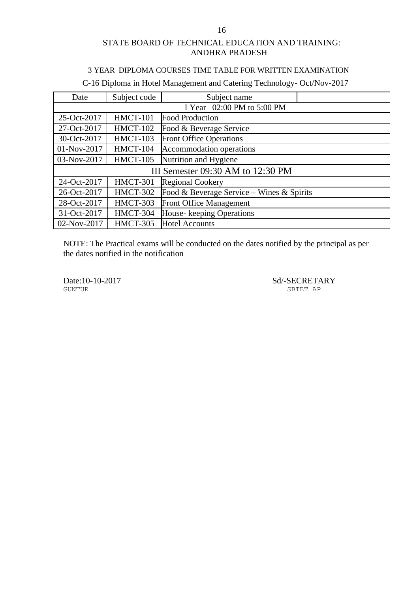#### 3 YEAR DIPLOMA COURSES TIME TABLE FOR WRITTEN EXAMINATION

# C-16 Diploma in Hotel Management and Catering Technology- Oct/Nov-2017

| Date        | Subject code                      | Subject name                              |  |  |  |
|-------------|-----------------------------------|-------------------------------------------|--|--|--|
|             |                                   | I Year 02:00 PM to 5:00 PM                |  |  |  |
| 25-Oct-2017 | <b>HMCT-101</b>                   | Food Production                           |  |  |  |
| 27-Oct-2017 | <b>HMCT-102</b>                   | Food & Beverage Service                   |  |  |  |
| 30-Oct-2017 | <b>HMCT-103</b>                   | <b>Front Office Operations</b>            |  |  |  |
| 01-Nov-2017 | <b>HMCT-104</b>                   | Accommodation operations                  |  |  |  |
| 03-Nov-2017 | <b>HMCT-105</b>                   | Nutrition and Hygiene                     |  |  |  |
|             | III Semester 09:30 AM to 12:30 PM |                                           |  |  |  |
| 24-Oct-2017 | <b>HMCT-301</b>                   | <b>Regional Cookery</b>                   |  |  |  |
| 26-Oct-2017 | <b>HMCT-302</b>                   | Food & Beverage Service – Wines & Spirits |  |  |  |
| 28-Oct-2017 | HMCT-303                          | Front Office Management                   |  |  |  |
| 31-Oct-2017 | HMCT-304                          | House-keeping Operations                  |  |  |  |
| 02-Nov-2017 | <b>HMCT-305</b>                   | <b>Hotel Accounts</b>                     |  |  |  |

NOTE: The Practical exams will be conducted on the dates notified by the principal as per the dates notified in the notification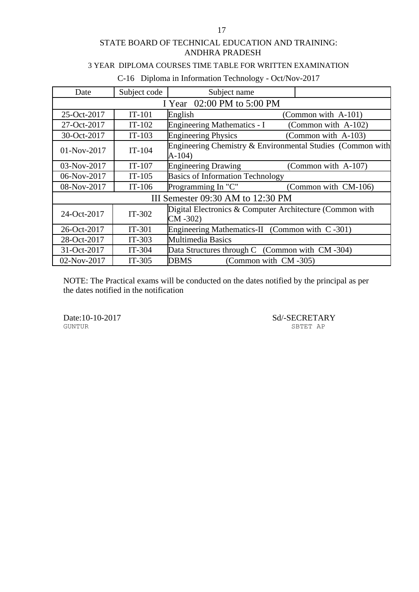## 3 YEAR DIPLOMA COURSES TIME TABLE FOR WRITTEN EXAMINATION

| Date                              | Subject code               | Subject name                                                           |                      |  |  |
|-----------------------------------|----------------------------|------------------------------------------------------------------------|----------------------|--|--|
|                                   | I Year 02:00 PM to 5:00 PM |                                                                        |                      |  |  |
| 25-Oct-2017                       | $IT-101$                   | English                                                                | (Common with A-101)  |  |  |
| 27-Oct-2017                       | $IT-102$                   | <b>Engineering Mathematics - I</b>                                     | (Common with A-102)  |  |  |
| 30-Oct-2017                       | $IT-103$                   | <b>Engineering Physics</b>                                             | (Common with A-103)  |  |  |
| $01-Nov-2017$                     | $IT-104$                   | Engineering Chemistry & Environmental Studies (Common with<br>$A-104)$ |                      |  |  |
| 03-Nov-2017                       | $IT-107$                   | <b>Engineering Drawing</b>                                             | (Common with A-107)  |  |  |
| 06-Nov-2017                       | $IT-105$                   | <b>Basics of Information Technology</b>                                |                      |  |  |
| 08-Nov-2017                       | $IT-106$                   | Programming In "C"                                                     | (Common with CM-106) |  |  |
| III Semester 09:30 AM to 12:30 PM |                            |                                                                        |                      |  |  |
| 24-Oct-2017                       | $IT-302$                   | Digital Electronics & Computer Architecture (Common with<br>$CM - 302$ |                      |  |  |
| 26-Oct-2017                       | $IT-301$                   | Engineering Mathematics-II (Common with C-301)                         |                      |  |  |
| 28-Oct-2017                       | $IT-303$                   | <b>Multimedia Basics</b>                                               |                      |  |  |
| 31-Oct-2017                       | $IT-304$                   | Data Structures through C (Common with CM-304)                         |                      |  |  |
| 02-Nov-2017                       | $IT-305$                   | <b>DBMS</b><br>(Common with CM-305)                                    |                      |  |  |

## C-16 Diploma in Information Technology - Oct/Nov-2017

NOTE: The Practical exams will be conducted on the dates notified by the principal as per the dates notified in the notification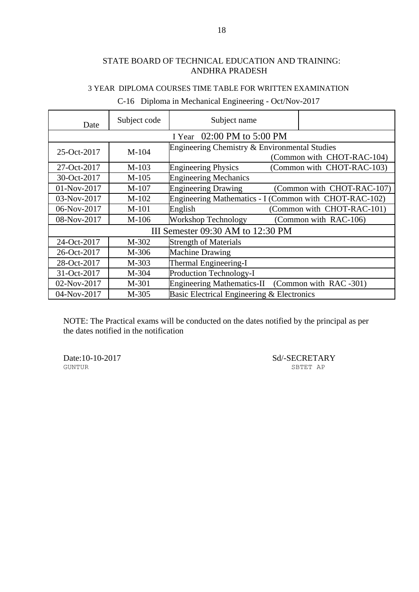## 3 YEAR DIPLOMA COURSES TIME TABLE FOR WRITTEN EXAMINATION

| Date                              | Subject code               | Subject name                                           |                            |  |  |
|-----------------------------------|----------------------------|--------------------------------------------------------|----------------------------|--|--|
|                                   | I Year 02:00 PM to 5:00 PM |                                                        |                            |  |  |
| 25-Oct-2017                       | $M-104$                    | Engineering Chemistry & Environmental Studies          | (Common with CHOT-RAC-104) |  |  |
| 27-Oct-2017                       | $M-103$                    | <b>Engineering Physics</b>                             | (Common with CHOT-RAC-103) |  |  |
| 30-Oct-2017                       | $M-105$                    | <b>Engineering Mechanics</b>                           |                            |  |  |
| 01-Nov-2017                       | $M-107$                    | <b>Engineering Drawing</b>                             | (Common with CHOT-RAC-107) |  |  |
| 03-Nov-2017                       | $M-102$                    | Engineering Mathematics - I (Common with CHOT-RAC-102) |                            |  |  |
| 06-Nov-2017                       | $M-101$                    | English                                                | (Common with CHOT-RAC-101) |  |  |
| 08-Nov-2017                       | $M-106$                    | Workshop Technology                                    | (Common with RAC-106)      |  |  |
| III Semester 09:30 AM to 12:30 PM |                            |                                                        |                            |  |  |
| 24-Oct-2017                       | M-302                      | <b>Strength of Materials</b>                           |                            |  |  |
| 26-Oct-2017                       | M-306                      | <b>Machine Drawing</b>                                 |                            |  |  |
| 28-Oct-2017                       | M-303                      | Thermal Engineering-I                                  |                            |  |  |
| 31-Oct-2017                       | M-304                      | Production Technology-I                                |                            |  |  |
| 02-Nov-2017                       | M-301                      | Engineering Mathematics-II (Common with RAC-301)       |                            |  |  |
| 04-Nov-2017                       | M-305                      | Basic Electrical Engineering & Electronics             |                            |  |  |

# C-16 Diploma in Mechanical Engineering - Oct/Nov-2017

NOTE: The Practical exams will be conducted on the dates notified by the principal as per the dates notified in the notification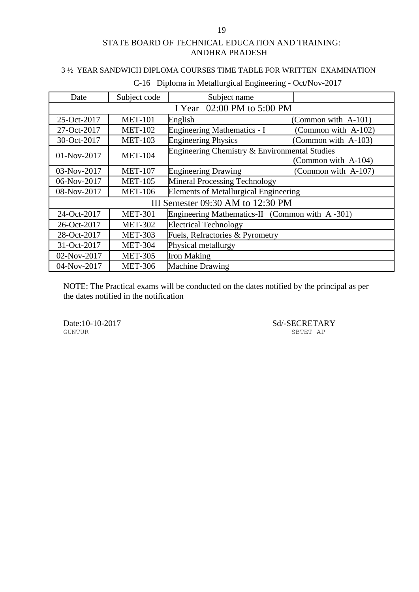## 3 ½ YEAR SANDWICH DIPLOMA COURSES TIME TABLE FOR WRITTEN EXAMINATION

| Date                              | Subject code               | Subject name                                   |                     |  |  |
|-----------------------------------|----------------------------|------------------------------------------------|---------------------|--|--|
|                                   | I Year 02:00 PM to 5:00 PM |                                                |                     |  |  |
| 25-Oct-2017                       | <b>MET-101</b>             | English                                        | (Common with A-101) |  |  |
| 27-Oct-2017                       | <b>MET-102</b>             | <b>Engineering Mathematics - I</b>             | (Common with A-102) |  |  |
| 30-Oct-2017                       | <b>MET-103</b>             | <b>Engineering Physics</b>                     | (Common with A-103) |  |  |
| 01-Nov-2017                       | <b>MET-104</b>             | Engineering Chemistry & Environmental Studies  | (Common with A-104) |  |  |
| 03-Nov-2017                       | <b>MET-107</b>             | <b>Engineering Drawing</b>                     | (Common with A-107) |  |  |
| 06-Nov-2017                       | <b>MET-105</b>             | <b>Mineral Processing Technology</b>           |                     |  |  |
| 08-Nov-2017                       | <b>MET-106</b>             | <b>Elements of Metallurgical Engineering</b>   |                     |  |  |
| III Semester 09:30 AM to 12:30 PM |                            |                                                |                     |  |  |
| 24-Oct-2017                       | <b>MET-301</b>             | Engineering Mathematics-II (Common with A-301) |                     |  |  |
| 26-Oct-2017                       | <b>MET-302</b>             | <b>Electrical Technology</b>                   |                     |  |  |
| 28-Oct-2017                       | <b>MET-303</b>             | Fuels, Refractories & Pyrometry                |                     |  |  |
| 31-Oct-2017                       | <b>MET-304</b>             | Physical metallurgy                            |                     |  |  |
| 02-Nov-2017                       | <b>MET-305</b>             | <b>Iron Making</b>                             |                     |  |  |
| 04-Nov-2017                       | <b>MET-306</b>             | <b>Machine Drawing</b>                         |                     |  |  |

## C-16 Diploma in Metallurgical Engineering - Oct/Nov-2017

NOTE: The Practical exams will be conducted on the dates notified by the principal as per the dates notified in the notification

GUNTUR SBTET AP

Date:10-10-2017 Sd/-SECRETARY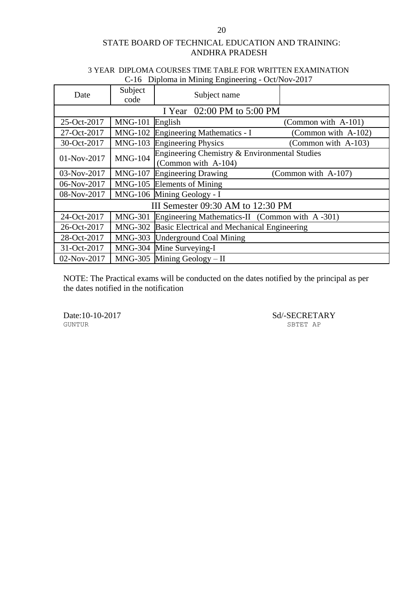## 3 YEAR DIPLOMA COURSES TIME TABLE FOR WRITTEN EXAMINATION C-16 Diploma in Mining Engineering - Oct/Nov-2017

| Date        | Subject<br>code | Subject name                                                         |                     |
|-------------|-----------------|----------------------------------------------------------------------|---------------------|
|             |                 | I Year 02:00 PM to 5:00 PM                                           |                     |
| 25-Oct-2017 | <b>MNG-101</b>  | English                                                              | (Common with A-101) |
| 27-Oct-2017 | <b>MNG-102</b>  | <b>Engineering Mathematics - I</b>                                   | (Common with A-102) |
| 30-Oct-2017 | <b>MNG-103</b>  | <b>Engineering Physics</b>                                           | (Common with A-103) |
| 01-Nov-2017 | <b>MNG-104</b>  | Engineering Chemistry & Environmental Studies<br>(Common with A-104) |                     |
| 03-Nov-2017 | <b>MNG-107</b>  | <b>Engineering Drawing</b>                                           | (Common with A-107) |
| 06-Nov-2017 |                 | MNG-105 Elements of Mining                                           |                     |
| 08-Nov-2017 |                 | MNG-106 Mining Geology - I                                           |                     |
|             |                 | III Semester 09:30 AM to 12:30 PM                                    |                     |
| 24-Oct-2017 | <b>MNG-301</b>  | Engineering Mathematics-II (Common with A-301)                       |                     |
| 26-Oct-2017 |                 | MNG-302 Basic Electrical and Mechanical Engineering                  |                     |
| 28-Oct-2017 |                 | MNG-303 Underground Coal Mining                                      |                     |
| 31-Oct-2017 |                 | MNG-304 Mine Surveying-I                                             |                     |
| 02-Nov-2017 |                 | $MNG-305$ Mining Geology - II                                        |                     |

NOTE: The Practical exams will be conducted on the dates notified by the principal as per the dates notified in the notification

Date:10-10-2017 Sd/-SECRETARY SETTER P SBTET AP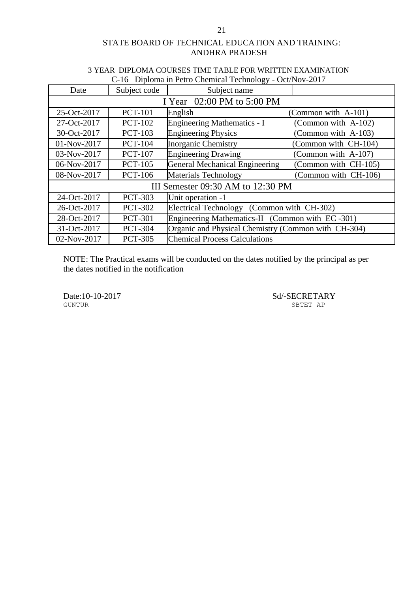| C-16 Diploma in Petro Chemical Technology - Oct/Nov-2017 |                |                                                     |                      |  |
|----------------------------------------------------------|----------------|-----------------------------------------------------|----------------------|--|
| Date                                                     | Subject code   | Subject name                                        |                      |  |
|                                                          |                | I Year 02:00 PM to 5:00 PM                          |                      |  |
| 25-Oct-2017                                              | <b>PCT-101</b> | English                                             | (Common with A-101)  |  |
| 27-Oct-2017                                              | <b>PCT-102</b> | <b>Engineering Mathematics - I</b>                  | (Common with A-102)  |  |
| 30-Oct-2017                                              | <b>PCT-103</b> | <b>Engineering Physics</b>                          | (Common with A-103)  |  |
| 01-Nov-2017                                              | <b>PCT-104</b> | <b>Inorganic Chemistry</b>                          | (Common with CH-104) |  |
| 03-Nov-2017                                              | <b>PCT-107</b> | <b>Engineering Drawing</b>                          | (Common with A-107)  |  |
| 06-Nov-2017                                              | <b>PCT-105</b> | <b>General Mechanical Engineering</b>               | (Common with CH-105) |  |
| 08-Nov-2017                                              | <b>PCT-106</b> | <b>Materials Technology</b>                         | (Common with CH-106) |  |
| III Semester 09:30 AM to 12:30 PM                        |                |                                                     |                      |  |
| 24-Oct-2017                                              | <b>PCT-303</b> | Unit operation -1                                   |                      |  |
| 26-Oct-2017                                              | <b>PCT-302</b> | Electrical Technology (Common with CH-302)          |                      |  |
| 28-Oct-2017                                              | <b>PCT-301</b> | Engineering Mathematics-II (Common with EC-301)     |                      |  |
| 31-Oct-2017                                              | <b>PCT-304</b> | Organic and Physical Chemistry (Common with CH-304) |                      |  |
| 02-Nov-2017                                              | <b>PCT-305</b> | <b>Chemical Process Calculations</b>                |                      |  |

#### 3 YEAR DIPLOMA COURSES TIME TABLE FOR WRITTEN EXAMINATION C-16 Diploma in Petro Chemical Technology - Oct/Nov-2017

NOTE: The Practical exams will be conducted on the dates notified by the principal as per the dates notified in the notification

Date:10-10-2017 Sd/-SECRETARY SUNTUR SETT AP

SBTET AP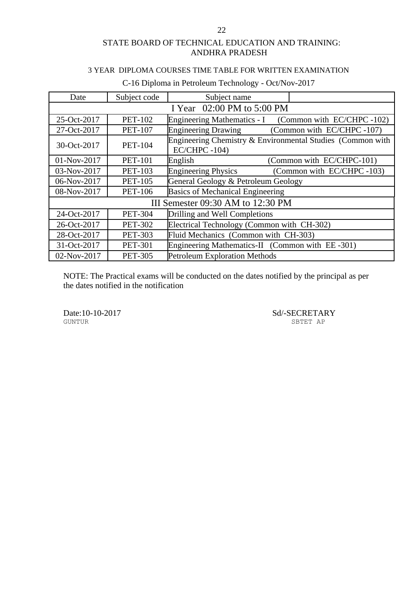#### 3 YEAR DIPLOMA COURSES TIME TABLE FOR WRITTEN EXAMINATION

| Date                              | Subject code   | Subject name                                                                  |  |  |
|-----------------------------------|----------------|-------------------------------------------------------------------------------|--|--|
| I Year 02:00 PM to 5:00 PM        |                |                                                                               |  |  |
| 25-Oct-2017                       | <b>PET-102</b> | Engineering Mathematics - I (Common with EC/CHPC -102)                        |  |  |
| 27-Oct-2017                       | <b>PET-107</b> | <b>Engineering Drawing</b><br>(Common with EC/CHPC-107)                       |  |  |
| 30-Oct-2017                       | <b>PET-104</b> | Engineering Chemistry & Environmental Studies (Common with<br>$EC/CHPC -104)$ |  |  |
| 01-Nov-2017                       | <b>PET-101</b> | (Common with EC/CHPC-101)<br>English                                          |  |  |
| 03-Nov-2017                       | <b>PET-103</b> | (Common with EC/CHPC-103)<br><b>Engineering Physics</b>                       |  |  |
| 06-Nov-2017                       | <b>PET-105</b> | General Geology & Petroleum Geology                                           |  |  |
| 08-Nov-2017                       | <b>PET-106</b> | <b>Basics of Mechanical Engineering</b>                                       |  |  |
| III Semester 09:30 AM to 12:30 PM |                |                                                                               |  |  |
| 24-Oct-2017                       | <b>PET-304</b> | Drilling and Well Completions                                                 |  |  |
| 26-Oct-2017                       | <b>PET-302</b> | Electrical Technology (Common with CH-302)                                    |  |  |
| 28-Oct-2017                       | <b>PET-303</b> | Fluid Mechanics (Common with CH-303)                                          |  |  |
| 31-Oct-2017                       | <b>PET-301</b> | Engineering Mathematics-II (Common with EE-301)                               |  |  |
| 02-Nov-2017                       | <b>PET-305</b> | <b>Petroleum Exploration Methods</b>                                          |  |  |

## C-16 Diploma in Petroleum Technology - Oct/Nov-2017

NOTE: The Practical exams will be conducted on the dates notified by the principal as per the dates notified in the notification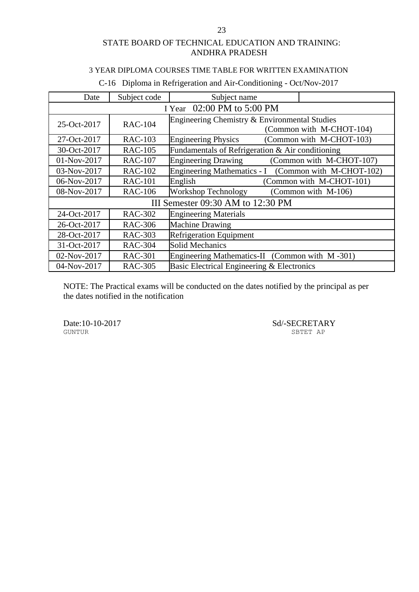#### 3 YEAR DIPLOMA COURSES TIME TABLE FOR WRITTEN EXAMINATION

| Date                              | Subject code                  | Subject name                                         |                          |  |  |
|-----------------------------------|-------------------------------|------------------------------------------------------|--------------------------|--|--|
|                                   | 02:00 PM to 5:00 PM<br>I Year |                                                      |                          |  |  |
| 25-Oct-2017                       | <b>RAC-104</b>                | Engineering Chemistry & Environmental Studies        | (Common with M-CHOT-104) |  |  |
| 27-Oct-2017                       | <b>RAC-103</b>                | <b>Engineering Physics</b>                           | (Common with M-CHOT-103) |  |  |
| 30-Oct-2017                       | <b>RAC-105</b>                | Fundamentals of Refrigeration & Air conditioning     |                          |  |  |
| 01-Nov-2017                       | <b>RAC-107</b>                | <b>Engineering Drawing</b>                           | (Common with M-CHOT-107) |  |  |
| 03-Nov-2017                       | <b>RAC-102</b>                | Engineering Mathematics - I (Common with M-CHOT-102) |                          |  |  |
| 06-Nov-2017                       | <b>RAC-101</b>                | English                                              | (Common with M-CHOT-101) |  |  |
| 08-Nov-2017                       | <b>RAC-106</b>                | Workshop Technology                                  | (Common with M-106)      |  |  |
| III Semester 09:30 AM to 12:30 PM |                               |                                                      |                          |  |  |
| 24-Oct-2017                       | <b>RAC-302</b>                | <b>Engineering Materials</b>                         |                          |  |  |
| 26-Oct-2017                       | <b>RAC-306</b>                | <b>Machine Drawing</b>                               |                          |  |  |
| 28-Oct-2017                       | <b>RAC-303</b>                | <b>Refrigeration Equipment</b>                       |                          |  |  |
| 31-Oct-2017                       | <b>RAC-304</b>                | <b>Solid Mechanics</b>                               |                          |  |  |
| 02-Nov-2017                       | <b>RAC-301</b>                | Engineering Mathematics-II (Common with M-301)       |                          |  |  |
| 04-Nov-2017                       | <b>RAC-305</b>                | Basic Electrical Engineering & Electronics           |                          |  |  |

## C-16 Diploma in Refrigeration and Air-Conditioning - Oct/Nov-2017

NOTE: The Practical exams will be conducted on the dates notified by the principal as per the dates notified in the notification

Date:10-10-2017 Sd/-SECRETARY GUNTUR SBTET AP